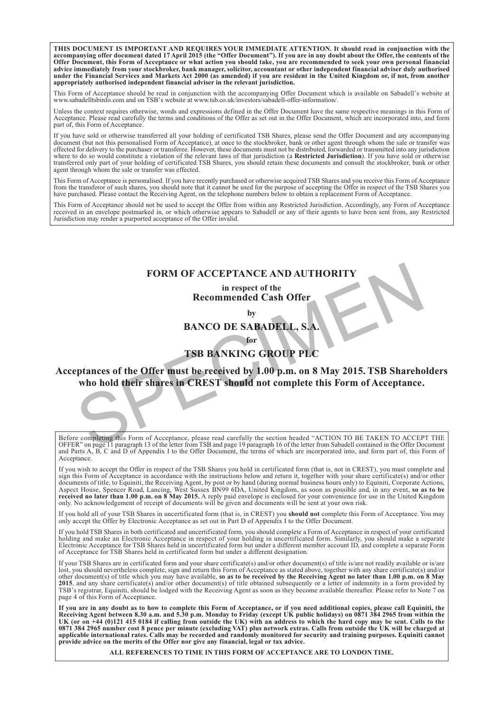**THIS DOCUMENT IS IMPORTANT AND REQUIRES YOUR IMMEDIATE ATTENTION. It should read in conjunction with the accompanying offer document dated 17 April 2015 (the "Offer Document"). If you are in any doubt about the Offer, the contents of the Offer Document, this Form of Acceptance or what action you should take, you are recommended to seek your own personal financial advice immediately from your stockbroker, bank manager, solicitor, accountant or other independent financial adviser duly authorised under the Financial Services and Markets Act 2000 (as amended) if you are resident in the United Kingdom or, if not, from another appropriately authorised independent financial adviser in the relevant jurisdiction.**

This Form of Acceptance should be read in conjunction with the accompanying Offer Document which is available on Sabadell's website at www.sabadelltsbinfo.com and on TSB's website at www.tsb.co.uk/investors/sabadell-offer-information/.

Unless the context requires otherwise, words and expressions defined in the Offer Document have the same respective meanings in this Form of Acceptance. Please read carefully the terms and conditions of the Offer as set out in the Offer Document, which are incorporated into, and form part of, this Form of Acceptance.

If you have sold or otherwise transferred all your holding of certificated TSB Shares, please send the Offer Document and any accompanying document (but not this personalised Form of Acceptance), at once to the stockbroker, bank or other agent through whom the sale or transfer was effected for delivery to the purchaser or transferee. However, these documents must not be distributed, forwarded or transmitted into any jurisdiction where to do so would constitute a violation of the relevant laws of that jurisdiction (a **Restricted Jurisdiction**). If you have sold or otherwise transferred only part of your holding of certificated TSB Shares, you should retain these documents and consult the stockbroker, bank or other agent through whom the sale or transfer was effected.

This Form of Acceptance is personalised. If you have recently purchased or otherwise acquired TSB Shares and you receive this Form of Acceptance from the transferor of such shares, you should note that it cannot be used for the purpose of accepting the Offer in respect of the TSB Shares you have purchased. Please contact the Receiving Agent, on the telephone numbers below to obtain a replacement Form of Acceptance.

This Form of Acceptance should not be used to accept the Offer from within any Restricted Jurisdiction. Accordingly, any Form of Acceptance received in an envelope postmarked in, or which otherwise appears to Sabadell or any of their agents to have been sent from, any Restricted Jurisdiction may render a purported acceptance of the Offer invalid.

# **FORM OF ACCEPTANCE AND AUTHORIT**

### **in respect of the Recommended Cash Offer**

**by**

**BANCO DE SABADELL, S.A.**

**for**

# **TSB BANKING GROUP PLC**

**Acceptances of the Offer must be received by 1.00 p.m. on 8 May 2015. TSB Shareholders who hold their shares in CREST should not complete this Form of Acceptance.** FORM OF ACCEPTANCE AND AUTHORITY<br>
in respect of the<br>
Recommended Cash Offer<br>
by<br>
BANCO DE SABADELL, S.A.<br>
for<br>
TSB BANKING GROUP PLC<br>
ptances of the Offer must be received by 1.00 p.m. on 8 May 2015. TSB Shareho<br>
who hold

Before completing this Form of Acceptance, please read carefully the section headed "ACTION TO BE TAKEN TO ACCEPT THE OFFER" on page 11 paragraph 13 of the letter from TSB and page 19 paragraph 16 of the letter from Sabadell contained in the Offer Document and Parts A, B, C and D of Appendix I to the Offer Document, the terms of which are incorporated into, and form part of, this Form of Acceptance.

If you wish to accept the Offer in respect of the TSB Shares you hold in certificated form (that is, not in CREST), you must complete and sign this Form of Acceptance in accordance with the instructions below and return it, together with your share certificate(s) and/or other documents of title, to Equiniti, the Receiving Agent, by post or by hand (during normal business hours only) to Equiniti, Corporate Actions, Aspect House, Spencer Road, Lancing, West Sussex BN99 6DA, United Kingdom, as soon as possible and, in any event, **so as to be received no later than 1.00 p.m. on 8 May 2015.** A reply paid envelope is enclosed for your convenience for use in the United Kingdom only. No acknowledgement of receipt of documents will be given and documents will be sent at your own risk.

If you hold all of your TSB Shares in uncertificated form (that is, in CREST) you **should not** complete this Form of Acceptance. You may only accept the Offer by Electronic Acceptance as set out in Part D of Appendix I to the Offer Document.

If you hold TSB Shares in both certificated and uncertificated form, you should complete a Form of Acceptance in respect of your certificated holding and make an Electronic Acceptance in respect of your holding in uncertificated form. Similarly, you should make a separate Electronic Acceptance for TSB Shares held in uncertificated form but under a different member account ID, and complete a separate Form of Acceptance for TSB Shares held in certificated form but under a different designation.

If your TSB Shares are in certificated form and your share certificate(s) and/or other document(s) of title is/are not readily available or is/are lost, you should nevertheless complete, sign and return this Form of Acceptance as stated above, together with any share certificate(s) and/or other document(s) of title which you may have available, **so as to be received by the Receiving Agent no later than 1.00 p.m. on 8 May** 2015, and any share certificate(s) and/or other document(s) of title obtained subsequently or a letter of indemnity in a form provided by<br>TSB's registrar, Equiniti, should be lodged with the Receiving Agent as soon as they page 4 of this Form of Acceptance.

**If you are in any doubt as to how to complete this Form of Acceptance, or if you need additional copies, please call Equiniti, the Receiving Agent between 8.30 a.m. and 5.30 p.m. Monday to Friday (except UK public holidays) on 0871 384 2965 from within the UK (or on +44 (0)121 415 0184 if calling from outside the UK) with an address to which the hard copy may be sent. Calls to the 0871 384 2965 number cost 8 pence per minute (excluding VAT) plus network extras. Calls from outside the UK will be charged at applicable international rates. Calls may be recorded and randomly monitored for security and training purposes. Equiniti cannot provide advice on the merits of the Offer nor give any financial, legal or tax advice.**

**ALL REFERENCES TO TIME IN THIS FORM OF ACCEPTANCE ARE TO LONDON TIME.**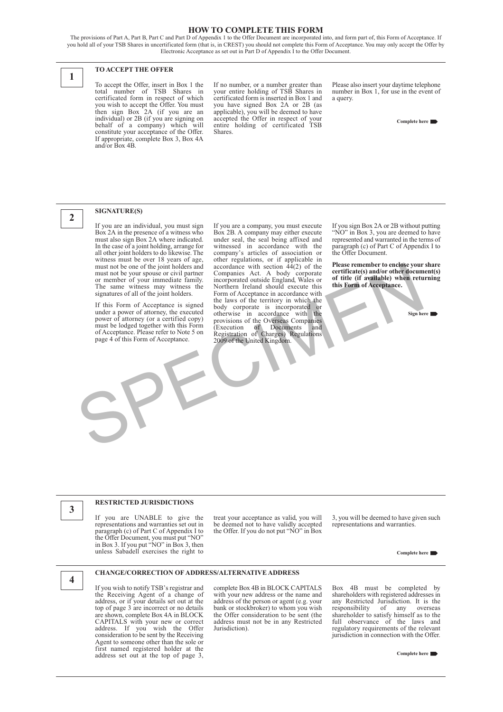### **HOW TO COMPLETE THIS FORM**

The provisions of Part A, Part B, Part C and Part D of Appendix 1 to the Offer Document are incorporated into, and form part of, this Form of Acceptance. If you hold all of your TSB Shares in uncertificated form (that is, in CREST) you should not complete this Form of Acceptance. You may only accept the Offer by Electronic Acceptance as set out in Part D of Appendix I to the Offer Document.



**2**

### **TO ACCEPT THE OFFER**

To accept the Offer, insert in Box 1 the total number of TSB Shares in certificated form in respect of which you wish to accept the Offer. You must then sign Box 2A (if you are an individual) or 2B (if you are signing on behalf of a company) which will constitute your acceptance of the Offer. If appropriate, complete Box 3, Box 4A and/or Box 4B.

If no number, or a number greater than your entire holding of TSB Shares in certificated form is inserted in Box 1 and you have signed Box 2A or 2B (as applicable), you will be deemed to have accepted the Offer in respect of your entire holding of certificated TSB Shares.

Please also insert your daytime telephone number in Box 1, for use in the event of a query.

**Complete here** 

### **SIGNATURE(S)**

If you are an individual, you must sign Box 2A in the presence of a witness who must also sign Box 2A where indicated. In the case of a joint holding, arrange for all other joint holders to do likewise. The witness must be over 18 years of age, must not be one of the joint holders and must not be your spouse or civil partner or member of your immediate family. The same witness may witness the signatures of all of the joint holders.

If this Form of Acceptance is signed under a power of attorney, the executed power of attorney (or a certified copy) must be lodged together with this Form of Acceptance. Please refer to Note 5 on page 4 of this Form of Acceptance.

If you are a company, you must execute Box 2B. A company may either execute under seal, the seal being affixed and witnessed in accordance with the company's articles of association or other regulations, or if applicable in accordance with section 44(2) of the Companies Act. A body corporate incorporated outside England, Wales or Northern Ireland should execute this Form of Acceptance in accordance with the laws of the territory in which the body corporate is incorporated or otherwise in accordance with the provisions of the Overseas Companies (Execution of Documents and Registration of Charges) Regulations 2009 of the United Kingdom. must not be one of the joint holders and accordance with section 44(2) of the **Please remember to enclose your member of the plant of the content of the content of the member of your immediate family. incorporated outside** 

If you sign Box 2A or 2B without putting "NO" in Box 3, you are deemed to have represented and warranted in the terms of paragraph (c) of Part C of Appendix I to the Offer Document.

**Please remember to enclose your share certificate(s) and/or other document(s) of title (if available) when returning this Form of Acceptance.**

**Sign here** 

### **RESTRICTED JURISDICTIONS**

If you are UNABLE to give the representations and warranties set out in paragraph (c) of Part C of Appendix I to the Offer Document, you must put "NO" in Box 3. If you put "NO" in Box 3, then unless Sabadell exercises the right to

treat your acceptance as valid, you will be deemed not to have validly accepted the Offer. If you do not put "NO" in Box

3, you will be deemed to have given such representations and warranties.

**Complete here** 

# **4**

**3**

### **CHANGE/CORRECTION OF ADDRESS/ALTERNATIVE ADDRESS**

If you wish to notify TSB's registrar and the Receiving Agent of a change of address, or if your details set out at the top of page 3 are incorrect or no details are shown, complete Box 4A in BLOCK CAPITALS with your new or correct address. If you wish the Offer consideration to be sent by the Receiving Agent to someone other than the sole or first named registered holder at the address set out at the top of page 3,

complete Box 4B in BLOCK CAPITALS with your new address or the name and address of the person or agent (e.g. your bank or stockbroker) to whom you wish the Offer consideration to be sent (the address must not be in any Restricted Jurisdiction).

Box 4B must be completed by shareholders with registered addresses in any Restricted Jurisdiction. It is the responsibility of any overseas responsibility of any overseas shareholder to satisfy himself as to the full observance of the laws and regulatory requirements of the relevant jurisdiction in connection with the Offer.

**Complete here**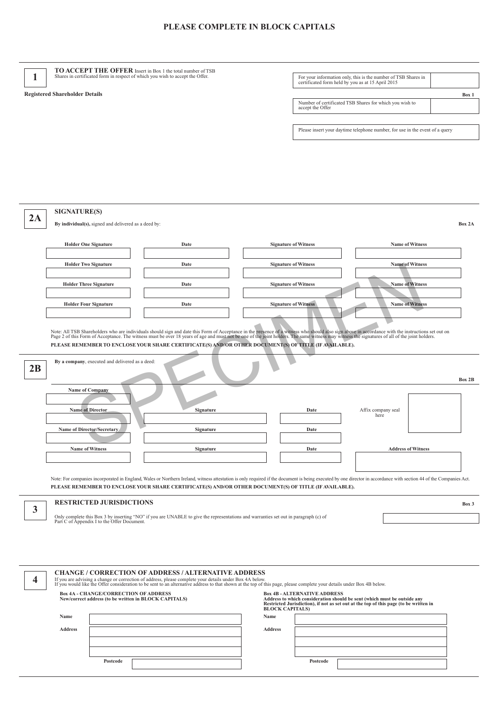## **PLEASE COMPLETE IN BLOCK CAPITALS**

| 1                                                                                                                                                                                                                                                                                                                                                                                                    | <b>TO ACCEPT THE OFFER</b> Insert in Box 1 the total number of TSB<br>Shares in certificated form in respect of which you wish to accept the Offer.                                                                                                                                                                                              |                                                      |                                                                                                                                     |                             | For your information only, this is the number of TSB Shares in                        |                        |        |  |
|------------------------------------------------------------------------------------------------------------------------------------------------------------------------------------------------------------------------------------------------------------------------------------------------------------------------------------------------------------------------------------------------------|--------------------------------------------------------------------------------------------------------------------------------------------------------------------------------------------------------------------------------------------------------------------------------------------------------------------------------------------------|------------------------------------------------------|-------------------------------------------------------------------------------------------------------------------------------------|-----------------------------|---------------------------------------------------------------------------------------|------------------------|--------|--|
|                                                                                                                                                                                                                                                                                                                                                                                                      |                                                                                                                                                                                                                                                                                                                                                  |                                                      |                                                                                                                                     |                             | certificated form held by you as at 15 April 2015                                     |                        |        |  |
| <b>Registered Shareholder Details</b>                                                                                                                                                                                                                                                                                                                                                                |                                                                                                                                                                                                                                                                                                                                                  |                                                      |                                                                                                                                     |                             | Box 1<br>Number of certificated TSB Shares for which you wish to<br>accept the Offer  |                        |        |  |
|                                                                                                                                                                                                                                                                                                                                                                                                      |                                                                                                                                                                                                                                                                                                                                                  |                                                      |                                                                                                                                     |                             |                                                                                       |                        |        |  |
|                                                                                                                                                                                                                                                                                                                                                                                                      |                                                                                                                                                                                                                                                                                                                                                  |                                                      |                                                                                                                                     |                             | Please insert your daytime telephone number, for use in the event of a query          |                        |        |  |
|                                                                                                                                                                                                                                                                                                                                                                                                      |                                                                                                                                                                                                                                                                                                                                                  |                                                      |                                                                                                                                     |                             |                                                                                       |                        |        |  |
|                                                                                                                                                                                                                                                                                                                                                                                                      |                                                                                                                                                                                                                                                                                                                                                  |                                                      |                                                                                                                                     |                             |                                                                                       |                        |        |  |
|                                                                                                                                                                                                                                                                                                                                                                                                      |                                                                                                                                                                                                                                                                                                                                                  |                                                      |                                                                                                                                     |                             |                                                                                       |                        |        |  |
|                                                                                                                                                                                                                                                                                                                                                                                                      |                                                                                                                                                                                                                                                                                                                                                  |                                                      |                                                                                                                                     |                             |                                                                                       |                        |        |  |
|                                                                                                                                                                                                                                                                                                                                                                                                      |                                                                                                                                                                                                                                                                                                                                                  |                                                      |                                                                                                                                     |                             |                                                                                       |                        |        |  |
|                                                                                                                                                                                                                                                                                                                                                                                                      | <b>SIGNATURE(S)</b>                                                                                                                                                                                                                                                                                                                              |                                                      |                                                                                                                                     |                             |                                                                                       |                        |        |  |
| 2A                                                                                                                                                                                                                                                                                                                                                                                                   |                                                                                                                                                                                                                                                                                                                                                  | By individual(s), signed and delivered as a deed by: |                                                                                                                                     |                             |                                                                                       |                        | Box 2A |  |
|                                                                                                                                                                                                                                                                                                                                                                                                      |                                                                                                                                                                                                                                                                                                                                                  |                                                      |                                                                                                                                     |                             |                                                                                       |                        |        |  |
|                                                                                                                                                                                                                                                                                                                                                                                                      | <b>Holder One Signature</b><br>Date                                                                                                                                                                                                                                                                                                              |                                                      |                                                                                                                                     | <b>Signature of Witness</b> |                                                                                       | <b>Name of Witness</b> |        |  |
|                                                                                                                                                                                                                                                                                                                                                                                                      | <b>Holder Two Signature</b>                                                                                                                                                                                                                                                                                                                      |                                                      | Date                                                                                                                                | <b>Signature of Witness</b> |                                                                                       | <b>Name of Witness</b> |        |  |
|                                                                                                                                                                                                                                                                                                                                                                                                      |                                                                                                                                                                                                                                                                                                                                                  |                                                      |                                                                                                                                     |                             |                                                                                       |                        |        |  |
|                                                                                                                                                                                                                                                                                                                                                                                                      | <b>Holder Three Signature</b><br>Date                                                                                                                                                                                                                                                                                                            |                                                      | <b>Signature of Witness</b>                                                                                                         |                             | <b>Name of Witness</b>                                                                |                        |        |  |
|                                                                                                                                                                                                                                                                                                                                                                                                      |                                                                                                                                                                                                                                                                                                                                                  |                                                      |                                                                                                                                     | <b>Signature of Witness</b> |                                                                                       | <b>Name of Witness</b> |        |  |
|                                                                                                                                                                                                                                                                                                                                                                                                      | <b>Holder Four Signature</b><br>Date                                                                                                                                                                                                                                                                                                             |                                                      |                                                                                                                                     |                             |                                                                                       |                        |        |  |
|                                                                                                                                                                                                                                                                                                                                                                                                      |                                                                                                                                                                                                                                                                                                                                                  |                                                      |                                                                                                                                     |                             |                                                                                       |                        |        |  |
| Note: All TSB Shareholders who are individuals should sign and date this Form of Acceptance in the presence of a witness who should also sign above in accordance with the instructions set out on<br>Page 2 of this Form of Acceptance. The witness must be over 18 years of age and must not be one of the joint holders. The same witness may witness the signatures of all of the joint holders. |                                                                                                                                                                                                                                                                                                                                                  |                                                      |                                                                                                                                     |                             |                                                                                       |                        |        |  |
| PLEASE REMEMBER TO ENCLOSE YOUR SHARE CERTIFICATE(S) AND/OR OTHER DOCUMENT(S) OF TITLE (IF AVAILABLE).                                                                                                                                                                                                                                                                                               |                                                                                                                                                                                                                                                                                                                                                  |                                                      |                                                                                                                                     |                             |                                                                                       |                        |        |  |
| By a company, executed and delivered as a deed:<br>2B                                                                                                                                                                                                                                                                                                                                                |                                                                                                                                                                                                                                                                                                                                                  |                                                      |                                                                                                                                     |                             |                                                                                       |                        |        |  |
|                                                                                                                                                                                                                                                                                                                                                                                                      |                                                                                                                                                                                                                                                                                                                                                  |                                                      |                                                                                                                                     |                             |                                                                                       |                        |        |  |
|                                                                                                                                                                                                                                                                                                                                                                                                      | Name of Company                                                                                                                                                                                                                                                                                                                                  |                                                      |                                                                                                                                     |                             |                                                                                       |                        |        |  |
|                                                                                                                                                                                                                                                                                                                                                                                                      |                                                                                                                                                                                                                                                                                                                                                  |                                                      |                                                                                                                                     |                             |                                                                                       |                        |        |  |
|                                                                                                                                                                                                                                                                                                                                                                                                      | <b>Name of Director</b><br><b>Signature</b>                                                                                                                                                                                                                                                                                                      |                                                      |                                                                                                                                     | Date                        | Affix company seal<br>here                                                            |                        |        |  |
|                                                                                                                                                                                                                                                                                                                                                                                                      | Name of Director/Secretary<br>Signature                                                                                                                                                                                                                                                                                                          |                                                      |                                                                                                                                     | Date                        |                                                                                       |                        |        |  |
|                                                                                                                                                                                                                                                                                                                                                                                                      | <b>Name of Witness</b><br>Signature                                                                                                                                                                                                                                                                                                              |                                                      |                                                                                                                                     | Date                        | <b>Address of Witness</b>                                                             |                        |        |  |
|                                                                                                                                                                                                                                                                                                                                                                                                      |                                                                                                                                                                                                                                                                                                                                                  |                                                      |                                                                                                                                     |                             |                                                                                       |                        |        |  |
|                                                                                                                                                                                                                                                                                                                                                                                                      |                                                                                                                                                                                                                                                                                                                                                  |                                                      |                                                                                                                                     |                             |                                                                                       |                        |        |  |
| Note: For companies incorporated in England, Wales or Northern Ireland, witness attestation is only required if the document is being executed by one director in accordance with section 44 of the Companies Act.<br>PLEASE REMEMBER TO ENCLOSE YOUR SHARE CERTIFICATE(S) AND/OR OTHER DOCUMENT(S) OF TITLE (IF AVAILABLE).                                                                         |                                                                                                                                                                                                                                                                                                                                                  |                                                      |                                                                                                                                     |                             |                                                                                       |                        |        |  |
|                                                                                                                                                                                                                                                                                                                                                                                                      |                                                                                                                                                                                                                                                                                                                                                  | <b>RESTRICTED JURISDICTIONS</b>                      |                                                                                                                                     |                             |                                                                                       |                        | Box 3  |  |
| 3                                                                                                                                                                                                                                                                                                                                                                                                    |                                                                                                                                                                                                                                                                                                                                                  |                                                      | Only complete this Box 3 by inserting "NO" if you are UNABLE to give the representations and warranties set out in paragraph (c) of |                             |                                                                                       |                        |        |  |
|                                                                                                                                                                                                                                                                                                                                                                                                      |                                                                                                                                                                                                                                                                                                                                                  | Part C of Appendix I to the Offer Document.          |                                                                                                                                     |                             |                                                                                       |                        |        |  |
|                                                                                                                                                                                                                                                                                                                                                                                                      |                                                                                                                                                                                                                                                                                                                                                  |                                                      |                                                                                                                                     |                             |                                                                                       |                        |        |  |
|                                                                                                                                                                                                                                                                                                                                                                                                      |                                                                                                                                                                                                                                                                                                                                                  |                                                      |                                                                                                                                     |                             |                                                                                       |                        |        |  |
|                                                                                                                                                                                                                                                                                                                                                                                                      |                                                                                                                                                                                                                                                                                                                                                  |                                                      |                                                                                                                                     |                             |                                                                                       |                        |        |  |
| 4                                                                                                                                                                                                                                                                                                                                                                                                    | <b>CHANGE / CORRECTION OF ADDRESS / ALTERNATIVE ADDRESS</b><br>If you are advising a change or correction of address, please complete your details under Box 4A below.<br>If you would like the Offer consideration to be sent to an alternative address to that shown at the top of this page, please complete your details under Box 4B below. |                                                      |                                                                                                                                     |                             |                                                                                       |                        |        |  |
|                                                                                                                                                                                                                                                                                                                                                                                                      | <b>Box 4A - CHANGE/CORRECTION OF ADDRESS</b><br><b>Box 4B - ALTERNATIVE ADDRESS</b><br>New/correct address (to be written in BLOCK CAPITALS)<br>Address to which consideration should be sent (which must be outside any                                                                                                                         |                                                      |                                                                                                                                     |                             |                                                                                       |                        |        |  |
|                                                                                                                                                                                                                                                                                                                                                                                                      |                                                                                                                                                                                                                                                                                                                                                  |                                                      | <b>BLOCK CAPITALS)</b>                                                                                                              |                             | Restricted Jurisdiction), if not as set out at the top of this page (to be written in |                        |        |  |
|                                                                                                                                                                                                                                                                                                                                                                                                      | Name                                                                                                                                                                                                                                                                                                                                             |                                                      |                                                                                                                                     | Name                        |                                                                                       |                        |        |  |
|                                                                                                                                                                                                                                                                                                                                                                                                      | <b>Address</b>                                                                                                                                                                                                                                                                                                                                   |                                                      |                                                                                                                                     | <b>Address</b>              |                                                                                       |                        |        |  |
|                                                                                                                                                                                                                                                                                                                                                                                                      |                                                                                                                                                                                                                                                                                                                                                  |                                                      |                                                                                                                                     |                             |                                                                                       |                        |        |  |
|                                                                                                                                                                                                                                                                                                                                                                                                      |                                                                                                                                                                                                                                                                                                                                                  |                                                      |                                                                                                                                     |                             |                                                                                       |                        |        |  |

**Postcode Postcode**